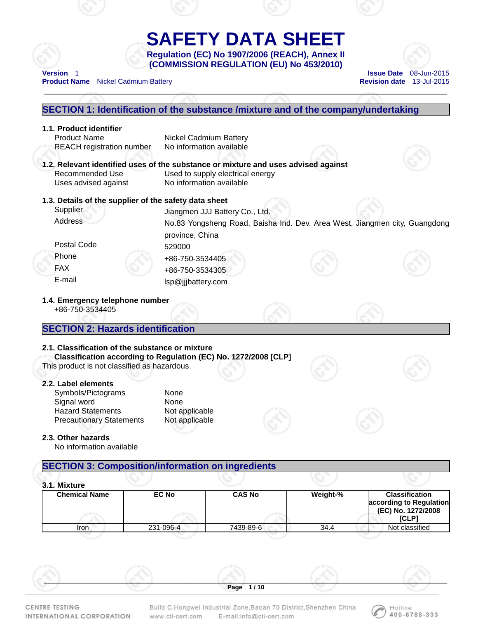# **SAFETY DATA SHEET Regulation (EC) No 1907/2006 (REACH), Annex II**

\_\_\_\_\_\_\_\_\_\_\_\_\_\_\_\_\_\_\_\_\_\_\_\_\_\_\_\_\_\_\_\_\_\_\_\_\_\_\_\_\_\_\_\_\_\_\_\_\_\_\_\_\_\_\_\_\_\_\_\_\_\_\_\_\_\_\_\_\_\_\_\_\_\_\_\_\_\_\_\_\_\_\_\_\_\_\_\_\_\_\_\_\_

**(COMMISSION REGULATION (EU) No 453/2010) Version** 1 **Issue Date** 08-Jun-2015



**Product Name** Nickel Cadmium Battery **Revision date 13-Jul-2015** 

# **SECTION 1: Identification of the substance /mixture and of the company/undertaking 1.1. Product identifier**  Product Name Nickel Cadmium Battery REACH registration number No information available **1.2. Relevant identified uses of the substance or mixture and uses advised against**  Recommended Use Used to supply electrical energy Uses advised against No information available **1.3. Details of the supplier of the safety data sheet**  Supplier Juangmen JJJ Battery Co., Ltd. Address No.83 Yongsheng Road, Baisha Ind. Dev. Area West, Jiangmen city, Guangdong province, China Postal Code 529000 Phone +86-750-3534405 FAX +86-750-3534305 E-mail lsp@jjjbattery.com **1.4. Emergency telephone number**  +86-750-3534405 **SECTION 2: Hazards identification 2.1. Classification of the substance or mixture Classification according to Regulation (EC) No. 1272/2008 [CLP]**  This product is not classified as hazardous. **2.2. Label elements**  Symbols/Pictograms None Signal word None Hazard Statements Not applicable Precautionary Statements Not applicable **2.3. Other hazards**  No information available **SECTION 3: Composition/information on ingredients 3.1. Mixture Chemical Name EC No CAS No Weight-% Classification according to Regulation (EC) No. 1272/2008 [CLP]**  Iron 231-096-4 7439-89-6 34.4 Not classified

CENTRE TESTING INTERNATIONAL CORPORATION Build C, Hongwei Industrial Zone, Baoan 70 District, Shenzhen China E-mail:info@cti-cert.com www.cti-cert.com

 $\mathcal{L}$  , and the contribution of  $\mathcal{L}$  , and  $\mathcal{L}$  , and  $\mathcal{L}$  , and  $\mathcal{L}$  , and  $\mathcal{L}$  , and  $\mathcal{L}$ **Page 1 / 10** 

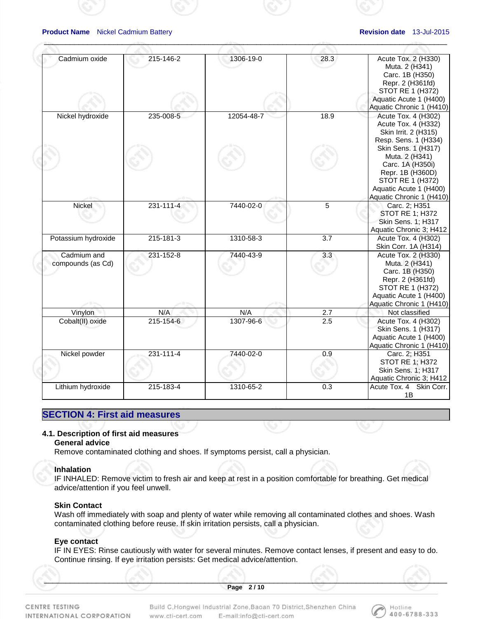| Cadmium oxide                    | 215-146-2       | 1306-19-0  | 28.3             | Acute Tox. 2 (H330)<br>Muta. 2 (H341)<br>Carc. 1B (H350)<br>Repr. 2 (H361fd)<br>STOT RE 1 (H372)                                                              |
|----------------------------------|-----------------|------------|------------------|---------------------------------------------------------------------------------------------------------------------------------------------------------------|
|                                  |                 |            |                  | Aquatic Acute 1 (H400)<br>Aquatic Chronic 1 (H410)                                                                                                            |
| Nickel hydroxide                 | 235-008-5       | 12054-48-7 | 18.9             | Acute Tox. 4 (H302)<br>Acute Tox. 4 (H332)<br>Skin Irrit. 2 (H315)<br>Resp. Sens. 1 (H334)                                                                    |
|                                  |                 |            |                  | Skin Sens. 1 (H317)<br>Muta. 2 (H341)<br>Carc. 1A (H350i)<br>Repr. 1B (H360D)<br>STOT RE 1 (H372)<br>Aquatic Acute 1 (H400)<br>Aquatic Chronic 1 (H410)       |
| Nickel                           | 231-111-4       | 7440-02-0  | 5                | Carc. 2; H351<br><b>STOT RE 1; H372</b><br>Skin Sens. 1; H317<br>Aquatic Chronic 3; H412                                                                      |
| Potassium hydroxide              | $215 - 181 - 3$ | 1310-58-3  | $\overline{3.7}$ | Acute Tox. 4 (H302)<br>Skin Corr. 1A (H314)                                                                                                                   |
| Cadmium and<br>compounds (as Cd) | $231 - 152 - 8$ | 7440-43-9  | 3.3              | Acute Tox. 2 (H330)<br>Muta. 2 (H341)<br>Carc. 1B (H350)<br>Repr. 2 (H361fd)<br><b>STOT RE 1 (H372)</b><br>Aquatic Acute 1 (H400)<br>Aquatic Chronic 1 (H410) |
| Vinylon                          | N/A             | N/A        | 2.7              | Not classified                                                                                                                                                |
| Cobalt(II) oxide                 | 215-154-6       | 1307-96-6  | 2.5              | Acute Tox. 4 (H302)<br>Skin Sens. 1 (H317)<br>Aquatic Acute 1 (H400)<br>Aquatic Chronic 1 (H410)                                                              |
| Nickel powder                    | $231 - 111 - 4$ | 7440-02-0  | 0.9              | Carc. 2; H351<br><b>STOT RE 1; H372</b><br>Skin Sens. 1; H317<br>Aquatic Chronic 3; H412                                                                      |
| Lithium hydroxide                | 215-183-4       | 1310-65-2  | 0.3              | Acute Tox. 4 Skin Corr.<br>1B                                                                                                                                 |

 $\mathcal{A}^{\otimes n}$  , and the contract of the contract of the contract of the contract of the contract of the contract of the contract of the contract of the contract of the contract of the contract of the contract of the cont

# **SECTION 4: First aid measures**

# **4.1. Description of first aid measures**

# **General advice**

Remove contaminated clothing and shoes. If symptoms persist, call a physician.

# **Inhalation**

IF INHALED: Remove victim to fresh air and keep at rest in a position comfortable for breathing. Get medical advice/attention if you feel unwell.

# **Skin Contact**

Wash off immediately with soap and plenty of water while removing all contaminated clothes and shoes. Wash contaminated clothing before reuse. If skin irritation persists, call a physician.

# **Eye contact**

IF IN EYES: Rinse cautiously with water for several minutes. Remove contact lenses, if present and easy to do. Continue rinsing. If eye irritation persists: Get medical advice/attention.

 $\mathcal{S}$  , and the contribution of  $\mathcal{S}$  , and  $\mathcal{S}$  , and  $\mathcal{S}$  , and  $\mathcal{S}$  , and  $\mathcal{S}$  , and  $\mathcal{S}$  , and  $\mathcal{S}$  , and  $\mathcal{S}$  , and  $\mathcal{S}$  , and  $\mathcal{S}$  , and  $\mathcal{S}$  , and  $\mathcal{S}$  , and  $\mathcal{S$ **Page 2 / 10** 

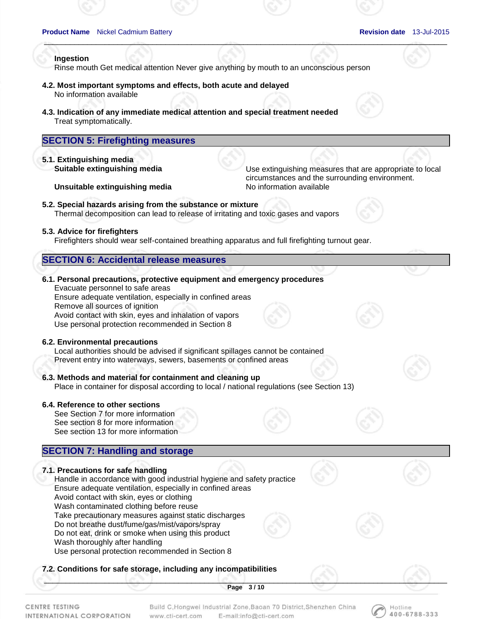Hotline 400-6788-333

# **Ingestion**

Rinse mouth Get medical attention Never give anything by mouth to an unconscious person

 $\mathcal{A}^{\otimes n}$  , and the contract of the contract of the contract of the contract of the contract of the contract of the contract of the contract of the contract of the contract of the contract of the contract of the cont

- **4.2. Most important symptoms and effects, both acute and delayed**  No information available
- **4.3. Indication of any immediate medical attention and special treatment needed**  Treat symptomatically.

# **SECTION 5: Firefighting measures**

**5.1. Extinguishing media** 

**Suitable extinguishing media** Use extinguishing measures that are appropriate to local circumstances and the surrounding environment.

**Unsuitable extinguishing media** No information available

**5.2. Special hazards arising from the substance or mixture**  Thermal decomposition can lead to release of irritating and toxic gases and vapors

### **5.3. Advice for firefighters**

Firefighters should wear self-contained breathing apparatus and full firefighting turnout gear.

# **SECTION 6: Accidental release measures**

# **6.1. Personal precautions, protective equipment and emergency procedures**

Evacuate personnel to safe areas Ensure adequate ventilation, especially in confined areas Remove all sources of ignition Avoid contact with skin, eyes and inhalation of vapors Use personal protection recommended in Section 8

### **6.2. Environmental precautions**

Local authorities should be advised if significant spillages cannot be contained

Prevent entry into waterways, sewers, basements or confined areas

# **6.3. Methods and material for containment and cleaning up**

Place in container for disposal according to local / national regulations (see Section 13)

# **6.4. Reference to other sections**

See Section 7 for more information See section 8 for more information See section 13 for more information

# **SECTION 7: Handling and storage**

## **7.1. Precautions for safe handling**

Handle in accordance with good industrial hygiene and safety practice Ensure adequate ventilation, especially in confined areas Avoid contact with skin, eyes or clothing Wash contaminated clothing before reuse Take precautionary measures against static discharges

Do not breathe dust/fume/gas/mist/vapors/spray

Do not eat, drink or smoke when using this product

Wash thoroughly after handling

Use personal protection recommended in Section 8

# **7.2. Conditions for safe storage, including any incompatibilities**

 $\mathcal{S}$  , and the contribution of  $\mathcal{S}$  , and  $\mathcal{S}$  , and  $\mathcal{S}$  , and  $\mathcal{S}$  , and  $\mathcal{S}$  , and  $\mathcal{S}$  , and  $\mathcal{S}$  , and  $\mathcal{S}$  , and  $\mathcal{S}$  , and  $\mathcal{S}$  , and  $\mathcal{S}$  , and  $\mathcal{S}$  , and  $\mathcal{S$ **Page 3 / 10** 

Build C, Hongwei Industrial Zone, Baoan 70 District, Shenzhen China E-mail:info@cti-cert.com www.cti-cert.com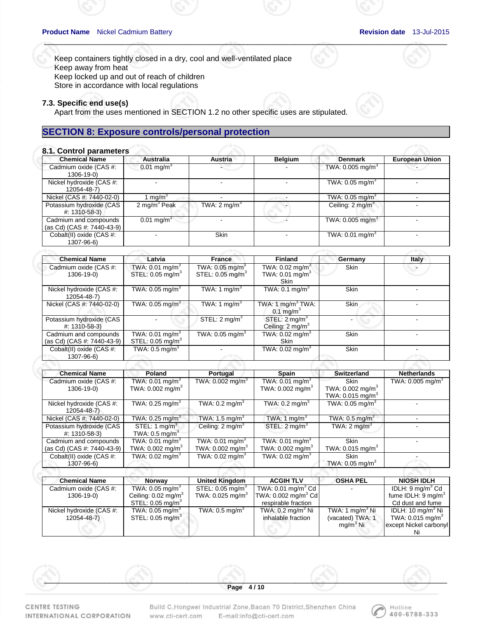Keep containers tightly closed in a dry, cool and well-ventilated place Keep away from heat Keep locked up and out of reach of children Store in accordance with local regulations

### **7.3. Specific end use(s)**

Apart from the uses mentioned in SECTION 1.2 no other specific uses are stipulated.

# **SECTION 8: Exposure controls/personal protection**

### **8.1. Control parameters**

| <b>Chemical Name</b>                                | <b>Australia</b>         | <b>Austria</b>          | <b>Belgium</b> | <b>Denmark</b>                 | <b>European Union</b> |
|-----------------------------------------------------|--------------------------|-------------------------|----------------|--------------------------------|-----------------------|
| Cadmium oxide (CAS #:<br>1306-19-0)                 | $0.01$ mg/m <sup>3</sup> |                         |                | TWA: $0.005$ mg/m <sup>3</sup> |                       |
| Nickel hydroxide (CAS #:<br>12054-48-7)             |                          |                         |                | TWA: $0.05$ mg/m <sup>3</sup>  |                       |
| Nickel (CAS #: 7440-02-0)                           | mq/m <sup>3</sup>        |                         |                | TWA: 0.05 mg/m $^3$            |                       |
| Potassium hydroxide (CAS<br>#: 1310-58-3)           | 2 mg/m $3$ Peak          | TWA: $2 \text{ mq/m}^3$ |                | Ceiling: $2 \text{mq/m}^3$     |                       |
| Cadmium and compounds<br>(as Cd) (CAS #: 7440-43-9) | $0.01 \text{ mg/m}^3$    |                         |                | TWA: $0.005 \,\mathrm{mg/m}^3$ |                       |
| Cobalt(II) oxide (CAS #:<br>1307-96-6)              |                          | Skin                    |                | TWA: $0.01$ mg/m <sup>3</sup>  |                       |

 $\mathcal{A}^{\otimes n}$  , and the contract of the contract of the contract of the contract of the contract of the contract of the contract of the contract of the contract of the contract of the contract of the contract of the cont

| <b>Chemical Name</b>                                | Latvia                                              | <b>France</b>                                                 | <b>Finland</b>                                                             | Germany     | Italy |
|-----------------------------------------------------|-----------------------------------------------------|---------------------------------------------------------------|----------------------------------------------------------------------------|-------------|-------|
| Cadmium oxide (CAS #:<br>1306-19-0)                 | TWA: 0.01 mg/m $3$<br>STEL: 0.05 mg/m <sup>3</sup>  | TWA: $0.05$ mg/m <sup>3</sup><br>STEL: 0.05 mg/m <sup>3</sup> | TWA: $0.02 \text{ mg/m}^3$<br>TWA: $0.01$ mg/m <sup>3</sup><br><b>Skin</b> | Skin        |       |
| Nickel hydroxide (CAS #:<br>12054-48-7)             | TWA: $0.05$ mg/m <sup>3</sup>                       | TWA: 1 mg/m <sup>3</sup>                                      | TWA: $0.1 \text{ mg/m}^3$                                                  | <b>Skin</b> |       |
| Nickel (CAS #: 7440-02-0)                           | TWA: $0.05$ mg/m <sup>3</sup>                       | TWA: 1 mg/m <sup>3</sup>                                      | TWA: $1 \text{ mg/m}^3$ TWA:<br>0.1 mg/m $3$                               | <b>Skin</b> |       |
| Potassium hydroxide (CAS<br>$\#$ : 1310-58-3)       |                                                     | STEL: $2 \text{ mq/m}^3$                                      | STEL: $2 \text{ mg/m}^3$<br>Ceiling: $2 \text{ mg/m}^3$                    |             |       |
| Cadmium and compounds<br>(as Cd) (CAS #: 7440-43-9) | TWA: 0.01 mg/m $^3$<br>STEL: 0.05 mg/m <sup>3</sup> | TWA: $0.05$ mg/m <sup>3</sup>                                 | TWA: $0.02 \text{ mg/m}^3$<br><b>Skin</b>                                  | <b>Skin</b> |       |
| Cobalt(II) oxide (CAS #:<br>1307-96-6)              | TWA: $0.5 \text{ mg/m}^3$                           |                                                               | TWA: $0.02 \text{ mg/m}^3$                                                 | <b>Skin</b> |       |
|                                                     |                                                     |                                                               |                                                                            |             |       |

| <b>Chemical Name</b>       | Poland                         | Portugal                       | Spain                         | Switzerland                    | <b>Netherlands</b>             |
|----------------------------|--------------------------------|--------------------------------|-------------------------------|--------------------------------|--------------------------------|
| Cadmium oxide (CAS #:      | TWA: 0.01 mg/m $^3$            | TWA: $0.002 \text{ mg/m}^3$    | TWA: 0.01 mg/m <sup>3</sup>   | <b>Skin</b>                    | TWA: $0.005$ mg/m <sup>3</sup> |
| 1306-19-0)                 | TWA: $0.002 \text{ mg/m}^3$    |                                | TWA: $0.002 \text{ mg/m}^3$   | TWA: $0.002$ mg/m <sup>3</sup> |                                |
|                            |                                |                                |                               | TWA: 0.015 mg/m <sup>3</sup>   |                                |
| Nickel hydroxide (CAS #:   | TWA: $0.25 \text{ ma/m}^3$     | TWA: $0.2 \text{ mg/m}^3$      | TWA: $0.2 \text{ mg/m}^3$     | TWA: $0.05$ mg/m <sup>3</sup>  |                                |
| 12054-48-7)                |                                |                                |                               |                                |                                |
| Nickel (CAS #: 7440-02-0)  | TWA: $0.25 \text{ mg/m}^3$     | TWA: 1.5 mg/m $3$              | TWA: 1 $mq/m3$                | TWA: $0.5$ mg/m <sup>3</sup>   |                                |
| Potassium hydroxide (CAS   | STEL: 1 $mq/m3$                | Ceiling: $2 \text{ mg/m}^3$    | STEL: $2 \text{ mq/m}^3$      | TWA: $2 \text{ mg/m}^3$        |                                |
| #: 1310-58-3)              | TWA: $0.5 \text{ mg/m}^3$      |                                |                               |                                |                                |
| Cadmium and compounds      | TWA: $0.01 \text{ mg/m}^3$     | TWA: $0.01$ mg/m <sup>3</sup>  | TWA: $0.01$ mg/m <sup>3</sup> | <b>Skin</b>                    |                                |
| (as Cd) (CAS #: 7440-43-9) | TWA: $0.002$ mg/m <sup>3</sup> | TWA: $0.002$ mg/m <sup>3</sup> | TWA: $0.002 \text{ mg/m}^3$   | TWA: $0.015$ mg/m <sup>3</sup> |                                |
| Cobalt(II) oxide (CAS #:   | TWA: 0.02 mg/m $^3\,$          | TWA: $0.02 \text{ mg/m}^3$     | TWA: $0.02 \text{ mg/m}^3$    | <b>Skin</b>                    |                                |
| 1307-96-6)                 |                                |                                |                               | TWA: $0.05$ mg/m <sup>3</sup>  |                                |

| <b>Chemical Name</b>     | <b>Norway</b>                  | <b>United Kingdom</b>          | <b>ACGIH TLV</b>                                 | <b>OSHA PEL</b>      | <b>NIOSH IDLH</b>                |
|--------------------------|--------------------------------|--------------------------------|--------------------------------------------------|----------------------|----------------------------------|
| Cadmium oxide (CAS #:    | TWA: 0.05 mg/m $^3$            | STEL: $0.05 \text{ mg/m}^3$    | TWA: 0.01 mg/m <sup>3</sup> Cd                   |                      | IDLH: $9 \,\mathrm{mq/m}^3$ Cd   |
| 1306-19-0)               | Ceiling: $0.02 \text{ mg/m}^3$ | TWA: $0.025$ mg/m <sup>3</sup> | $\textsf{TWA: } 0.002 \text{ mg/m}^3 \text{ Cd}$ |                      | fume IDLH: $9 \,\mathrm{mq/m}^3$ |
|                          | STEL: $0.05 \text{ mg/m}^3$    |                                | respirable fraction                              |                      | Cd dust and fume                 |
| Nickel hydroxide (CAS #: | TWA: $0.05 \text{ mg/m}^3$     | TWA: $0.5 \text{ mg/m}^3$      | TWA: $0.2 \text{ ma/m}^3$ Ni                     | TWA: 1 $mq/m3$ Ni    | IDLH: 10 mg/m $3$ Ni             |
| 12054-48-7)              | STEL: $0.05 \text{ mg/m}^3$    |                                | inhalable fraction                               | (vacated) TWA: 1     | TWA: $0.015 \text{ mg/m}^3$      |
|                          |                                |                                |                                                  | mg/m <sup>3</sup> Ni | except Nickel carbonyl           |
|                          |                                |                                |                                                  |                      |                                  |

CENTRE TESTING INTERNATIONAL CORPORATION

Build C, Hongwei Industrial Zone, Baoan 70 District, Shenzhen China E-mail:info@cti-cert.com www.cti-cert.com

 $\mathcal{S}$  , and the contribution of  $\mathcal{S}$  , and  $\mathcal{S}$  , and  $\mathcal{S}$  , and  $\mathcal{S}$  , and  $\mathcal{S}$  , and  $\mathcal{S}$  , and  $\mathcal{S}$  , and  $\mathcal{S}$  , and  $\mathcal{S}$  , and  $\mathcal{S}$  , and  $\mathcal{S}$  , and  $\mathcal{S}$  , and  $\mathcal{S$ **Page 4 / 10** 

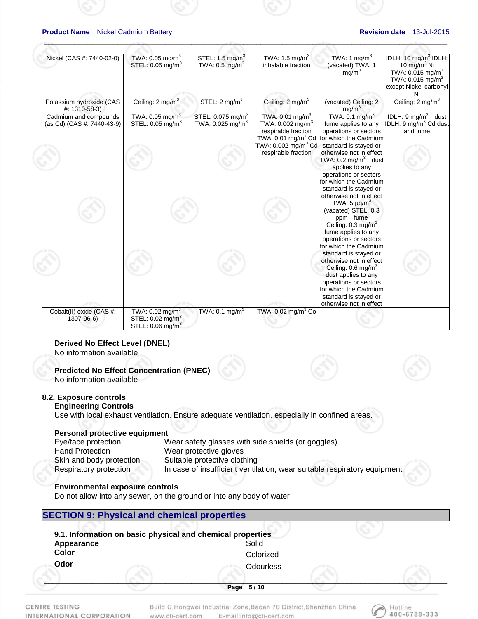| Nickel (CAS #: 7440-02-0)                           | TWA: $0.05$ mg/m <sup>3</sup><br>STEL: 0.05 mg/m <sup>3</sup> | STEL: $1.5 \text{ mg/m}^3$<br>TWA: $0.5$ mg/m <sup>3</sup>    | TWA: 1.5 mg/m <sup>3</sup><br>inhalable fraction                                                                                              | TWA: 1 mg/m <sup>3</sup><br>(vacated) TWA: 1<br>mg/m <sup>3</sup>                                                                                                                                                                                                                                                    | IDLH: 10 mg/m <sup>3</sup> IDLH:<br>10 mg/m $3$ Ni<br>TWA: 0.015 mg/m <sup>3</sup><br>TWA: $0.015 \text{ mg/m}^3$<br>except Nickel carbonyl<br>Ni |
|-----------------------------------------------------|---------------------------------------------------------------|---------------------------------------------------------------|-----------------------------------------------------------------------------------------------------------------------------------------------|----------------------------------------------------------------------------------------------------------------------------------------------------------------------------------------------------------------------------------------------------------------------------------------------------------------------|---------------------------------------------------------------------------------------------------------------------------------------------------|
| Potassium hydroxide (CAS<br>#: 1310-58-3)           | Ceiling: $2 \text{ mg/m}^3$                                   | STEL: 2 mg/m <sup>3</sup>                                     | Ceiling: $2 \text{ mg/m}^3$                                                                                                                   | (vacated) Ceiling: 2<br>mg/m <sup>3</sup>                                                                                                                                                                                                                                                                            | Ceiling: $2 \text{ mg/m}^3$                                                                                                                       |
| Cadmium and compounds<br>(as Cd) (CAS #: 7440-43-9) | TWA: $0.05$ mg/m <sup>3</sup><br>STEL: 0.05 mg/m <sup>3</sup> | STEL: 0.075 mg/m <sup>3</sup><br>TWA: 0.025 mg/m <sup>3</sup> | TWA: $0.01$ mg/m <sup>3</sup><br>TWA: $0.002 \text{ mg/m}^3$<br>respirable fraction<br>TWA: 0.002 mg/m <sup>3</sup> Cd<br>respirable fraction | TWA: $0.1 \text{ mg/m}^3$<br>fume applies to any<br>operations or sectors<br>TWA: 0.01 mg/m <sup>3</sup> Cd for which the Cadmium<br>standard is stayed or<br>otherwise not in effect<br>TWA: $0.2 \text{ mg/m}^3$ dust<br>applies to any<br>operations or sectors<br>for which the Cadmium<br>standard is stayed or | IDLH: $9 \text{ mg/m}^3$ dust<br>IDLH: 9 mg/m <sup>3</sup> Cd dust<br>and fume                                                                    |
|                                                     |                                                               |                                                               |                                                                                                                                               | otherwise not in effect<br>TWA: $5 \mu q/m^3$<br>(vacated) STEL: 0.3<br>ppm fume<br>Ceiling: $0.3 \text{ mg/m}^3$<br>fume applies to any<br>operations or sectors<br>for which the Cadmium<br>standard is stayed or<br>otherwise not in effect                                                                       |                                                                                                                                                   |
| Cobalt(II) oxide (CAS #:                            | TWA: $0.02$ mg/m <sup>3</sup>                                 | TWA: $0.1 \text{ mg/m}^3$                                     | TWA: 0.02 mg/m <sup>3</sup> Co                                                                                                                | Ceiling: 0.6 mg/m <sup>3</sup><br>dust applies to any<br>operations or sectors<br>for which the Cadmium<br>standard is stayed or<br>otherwise not in effect                                                                                                                                                          |                                                                                                                                                   |
| 1307-96-6)                                          | STEL: 0.02 mg/m <sup>3</sup><br>STEL: 0.06 mg/m <sup>3</sup>  |                                                               |                                                                                                                                               |                                                                                                                                                                                                                                                                                                                      |                                                                                                                                                   |

 $\mathcal{A}^{\otimes n}$  , and the contract of the contract of the contract of the contract of the contract of the contract of the contract of the contract of the contract of the contract of the contract of the contract of the cont

# **Derived No Effect Level (DNEL)**

No information available

# **Predicted No Effect Concentration (PNEC)**

No information available

# **8.2. Exposure controls**

# **Engineering Controls**

Use with local exhaust ventilation. Ensure adequate ventilation, especially in confined areas.

# **Personal protective equipment**

| Eye/face protection      | Wear safety glasses with side shields (or goggles)                       |
|--------------------------|--------------------------------------------------------------------------|
| <b>Hand Protection</b>   | Wear protective gloves                                                   |
| Skin and body protection | Suitable protective clothing                                             |
| Respiratory protection   | In case of insufficient ventilation, wear suitable respiratory equipment |

# **Environmental exposure controls**

Do not allow into any sewer, on the ground or into any body of water

# **SECTION 9: Physical and chemical properties**

| Appearance   | Solid     |  |
|--------------|-----------|--|
| <b>Color</b> | Colorized |  |
| Odor         | Odourless |  |
|              |           |  |
|              | Page 5/10 |  |

CENTRE TESTING INTERNATIONAL CORPORATION Build C, Hongwei Industrial Zone, Baoan 70 District, Shenzhen China E-mail:info@cti-cert.com www.cti-cert.com

Hotline 400-6788-333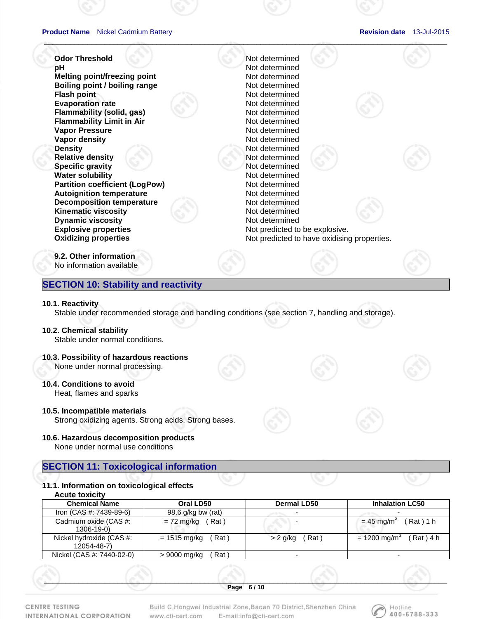$\mathcal{A}^{\otimes n}$  , and the contract of the contract of the contract of the contract of the contract of the contract of the contract of the contract of the contract of the contract of the contract of the contract of the cont **Odor Threshold**  Not determined **pH** Not determined **Melting point/freezing point and all and increment in the Mot determined Boiling point / boiling range Motion Contract Contract Professor Not determined Flash point Motion Contract Property Act of the United States Property Act of the United States Property Act of the United States Property Act of the United States Property Act of the United States Property Act of the Uni Evaporation rate Not determined Flammability (solid, gas)** Not determined **Flammability Limit in Air** Not determined **Vapor Pressure**  Not determined **Vapor density Not determined Density** Not determined **Relative density and a set of the Relative density of the Relative density of the Relative density of the Relative of the Relative density of the Relative of the Relative of the Relative of the Relative of the Relative of Specific gravity Not determined Water solubility Not determined Not determined Partition coefficient (LogPow)** Not determined **Autoignition temperature Not determined Decomposition temperature Motion Not determined Kinematic viscosity Not determined Dynamic viscosity Not determined Not determined Explosive properties Not predicted to be explosive.** Not predicted to be explosive. **Oxidizing properties Not predicted to have oxidising properties. 9.2. Other information**  No information available

# **SECTION 10: Stability and reactivity**

### **10.1. Reactivity**

Stable under recommended storage and handling conditions (see section 7, handling and storage).

# **10.2. Chemical stability**

Stable under normal conditions.

# **10.3. Possibility of hazardous reactions**

None under normal processing.

# **10.4. Conditions to avoid**

Heat, flames and sparks

# **10.5. Incompatible materials**

Strong oxidizing agents. Strong acids. Strong bases.

# **10.6. Hazardous decomposition products**

None under normal use conditions

# **SECTION 11: Toxicological information**

# **11.1. Information on toxicological effects**

**Acute toxicity** 

| <b>Chemical Name</b>                    | Oral LD50               | <b>Dermal LD50</b> | <b>Inhalation LC50</b>                 |
|-----------------------------------------|-------------------------|--------------------|----------------------------------------|
| Iron (CAS #: 7439-89-6)                 | 98.6 g/kg bw (rat)      |                    |                                        |
| Cadmium oxide (CAS #:<br>1306-19-0)     | = 72 mg/kg<br>Rat)      |                    | (Rat) 1 h<br>$= 45$ mg/m <sup>3</sup>  |
| Nickel hydroxide (CAS #:<br>12054-48-7) | $= 1515$ mg/kg<br>(Rat) | Rat)<br>$> 2$ g/kg | $= 1200$ mg/m <sup>3</sup><br>Rat) 4 h |
| Nickel (CAS #: 7440-02-0)               | Rat \<br>> 9000 mg/kg   |                    | -                                      |
|                                         |                         |                    |                                        |

 $\mathcal{S}$  , and the contribution of  $\mathcal{S}$  , and  $\mathcal{S}$  , and  $\mathcal{S}$  , and  $\mathcal{S}$  , and  $\mathcal{S}$  , and  $\mathcal{S}$  , and  $\mathcal{S}$  , and  $\mathcal{S}$  , and  $\mathcal{S}$  , and  $\mathcal{S}$  , and  $\mathcal{S}$  , and  $\mathcal{S}$  , and  $\mathcal{S$ **Page 6 / 10** 

CENTRE TESTING INTERNATIONAL CORPORATION

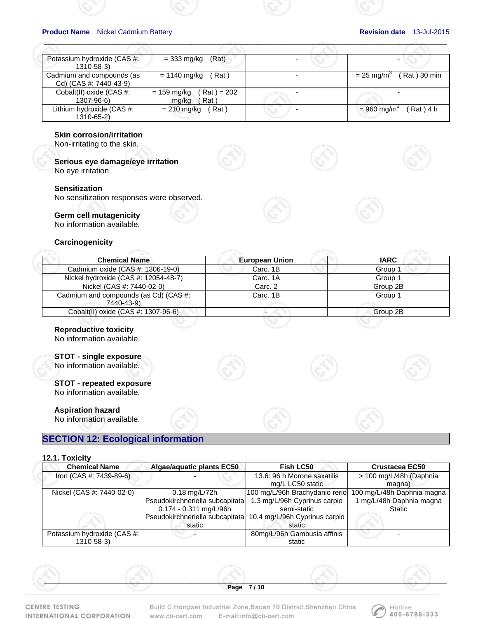| Potassium hydroxide (CAS #:<br>1310-58-3) | (Rat)<br>$=$ 333 mg/kg                          |                           |
|-------------------------------------------|-------------------------------------------------|---------------------------|
| Cadmium and compounds (as                 | = 1140 mg/kg                                    | (Rat)30 min               |
| Cd) (CAS #: 7440-43-9)                    | (Rat)                                           | $= 25$ mg/m <sup>3</sup>  |
| Cobalt(II) oxide (CAS #:<br>1307-96-6)    | $(Rat) = 202$<br>$= 159$ mg/kg<br>Rat)<br>mg/kg |                           |
| Lithium hydroxide (CAS #:                 | $= 210$ mg/kg                                   | (Rat) 4 h                 |
| 1310-65-2)                                | Rat)                                            | $= 960$ mg/m <sup>3</sup> |

 $\mathcal{A}^{\otimes n}$  , and the contract of the contract of the contract of the contract of the contract of the contract of the contract of the contract of the contract of the contract of the contract of the contract of the cont

## **Skin corrosion/irritation**

Non-irritating to the skin.

**Serious eye damage/eye irritation** No eye irritation.

### **Sensitization**

No sensitization responses were observed.

## **Germ cell mutagenicity**

No information available.

### **Carcinogenicity**

| <b>Chemical Name</b>                                | <b>European Union</b> | <b>IARC</b> |
|-----------------------------------------------------|-----------------------|-------------|
| Cadmium oxide (CAS #: 1306-19-0)                    | Carc. 1B              | Group 1     |
| Nickel hydroxide (CAS #: 12054-48-7)                | Carc. 1A              | Group 1     |
| Nickel (CAS #: 7440-02-0)                           | Carc. 2               | Group 2B    |
| Cadmium and compounds (as Cd) (CAS #:<br>7440-43-9) | Carc. 1B              | Group 1     |
| Cobalt(II) oxide (CAS #: 1307-96-6)                 |                       | Group 2B    |

### **Reproductive toxicity**

No information available.

# **STOT - single exposure**

No information available.

**STOT - repeated exposure** No information available.

### **Aspiration hazard**

No information available.

# **SECTION 12: Ecological information**

### **12.1. Toxicity**

| <b>Chemical Name</b>        | Algae/aquatic plants EC50       | Fish LC50                                                     | <b>Crustacea EC50</b>      |
|-----------------------------|---------------------------------|---------------------------------------------------------------|----------------------------|
| Iron (CAS #: 7439-89-6)     |                                 | 13.6: 96 h Morone saxatilis                                   | > 100 mg/L/48h (Daphnia    |
|                             |                                 | mg/L LC50 static                                              | magna)                     |
| Nickel (CAS #: 7440-02-0)   | $0.18 \text{ mg/L} / 72h$       | 100 mg/L/96h Brachydanio rerio                                | 100 mg/L/48h Daphnia magna |
|                             | Pseudokirchneriella subcapitata | 1.3 mg/L/96h Cyprinus carpio                                  | 1 mg/L/48h Daphnia magna   |
|                             | $0.174 - 0.311$ mg/L/96h        | semi-static                                                   | <b>Static</b>              |
|                             |                                 | Pseudokirchneriella subcapitata 10.4 mg/L/96h Cyprinus carpio |                            |
|                             | static                          | static                                                        |                            |
| Potassium hydroxide (CAS #: |                                 | 80mg/L/96h Gambusia affinis                                   |                            |
| 1310-58-3)                  |                                 | static                                                        |                            |

 $\mathcal{S}$  , and the contribution of  $\mathcal{S}$  , and  $\mathcal{S}$  , and  $\mathcal{S}$  , and  $\mathcal{S}$  , and  $\mathcal{S}$  , and  $\mathcal{S}$  , and  $\mathcal{S}$  , and  $\mathcal{S}$  , and  $\mathcal{S}$  , and  $\mathcal{S}$  , and  $\mathcal{S}$  , and  $\mathcal{S}$  , and  $\mathcal{S$ 

CENTRE TESTING INTERNATIONAL CORPORATION Build C, Hongwei Industrial Zone, Baoan 70 District, Shenzhen China E-mail:info@cti-cert.com www.cti-cert.com

**Page 7 / 10** 

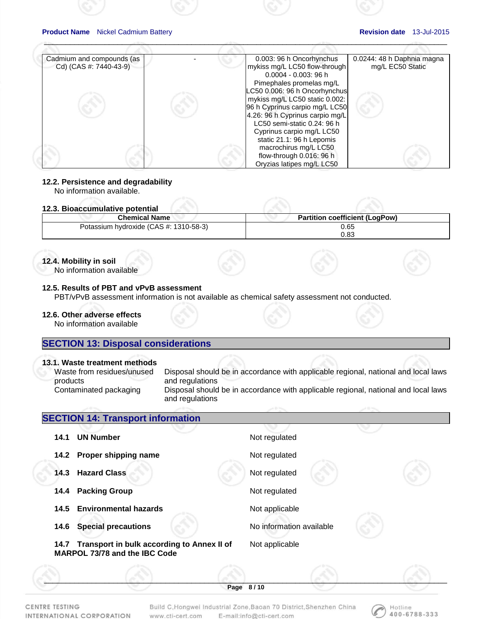| Cadmium and compounds (as<br>Cd) (CAS #: 7440-43-9) | 0.003: 96 h Oncorhynchus<br>mykiss mg/L LC50 flow-through<br>0.0004 - 0.003: 96 h | 0.0244: 48 h Daphnia magna<br>mg/L EC50 Static |
|-----------------------------------------------------|-----------------------------------------------------------------------------------|------------------------------------------------|
|                                                     | Pimephales promelas mg/L                                                          |                                                |
|                                                     | LC50 0.006: 96 h Oncorhynchus                                                     |                                                |
|                                                     | mykiss mg/L LC50 static 0.002:                                                    |                                                |
|                                                     | 96 h Cyprinus carpio mg/L LC50                                                    |                                                |
|                                                     | 4.26: 96 h Cyprinus carpio mg/L                                                   |                                                |
|                                                     | LC50 semi-static 0.24: 96 h                                                       |                                                |
|                                                     | Cyprinus carpio mg/L LC50                                                         |                                                |
|                                                     | static 21.1: 96 h Lepomis                                                         |                                                |
|                                                     | macrochirus mg/L LC50                                                             |                                                |
|                                                     | flow-through 0.016: 96 h                                                          |                                                |
|                                                     | Oryzias latipes mg/L LC50                                                         |                                                |

 $\mathcal{A}^{\otimes n}$  , and the contract of the contract of the contract of the contract of the contract of the contract of the contract of the contract of the contract of the contract of the contract of the contract of the cont

### **12.2. Persistence and degradability**

No information available.

# **12.3. Bioaccumulative potential**

| L.V. DIVUVVUIIIUIULITU DOLUILIUI       |                                       |  |
|----------------------------------------|---------------------------------------|--|
| <b>Chemical Name</b>                   | <b>Partition coefficient (LogPow)</b> |  |
| Potassium hydroxide (CAS #: 1310-58-3) | 0.65                                  |  |
|                                        | 0.83                                  |  |

## **12.4. Mobility in soil**

No information available

# **12.5. Results of PBT and vPvB assessment**

PBT/vPvB assessment information is not available as chemical safety assessment not conducted.

# **12.6. Other adverse effects**

No information available

# **SECTION 13: Disposal considerations**

## **13.1. Waste treatment methods**

| Waste from residues/unused<br>products | Disposal should be in accordance with applicable regional, national and local laws<br>and regulations |
|----------------------------------------|-------------------------------------------------------------------------------------------------------|
| Contaminated packaging                 | Disposal should be in accordance with applicable regional, national and local laws<br>and regulations |

# $\mathcal{S}$  , and the contribution of  $\mathcal{S}$  , and  $\mathcal{S}$  , and  $\mathcal{S}$  , and  $\mathcal{S}$  , and  $\mathcal{S}$  , and  $\mathcal{S}$  , and  $\mathcal{S}$  , and  $\mathcal{S}$  , and  $\mathcal{S}$  , and  $\mathcal{S}$  , and  $\mathcal{S}$  , and  $\mathcal{S}$  , and  $\mathcal{S$ **Page 8 / 10 SECTION 14: Transport information 14.1 UN Number**  Not regulated **14.2 Proper shipping name** Not regulated **14.3 Hazard Class <b>Not regulated** Not regulated **14.4 Packing Group 14.4 Packing Group** 14.5 Environmental hazards **Not applicable 14.6 Special precautions No information available 14.7 Transport in bulk according to Annex II of MARPOL 73/78 and the IBC Code**  Not applicable

CENTRE TESTING INTERNATIONAL CORPORATION Build C, Hongwei Industrial Zone, Baoan 70 District, Shenzhen China E-mail:info@cti-cert.com www.cti-cert.com

Hotline 400-6788-333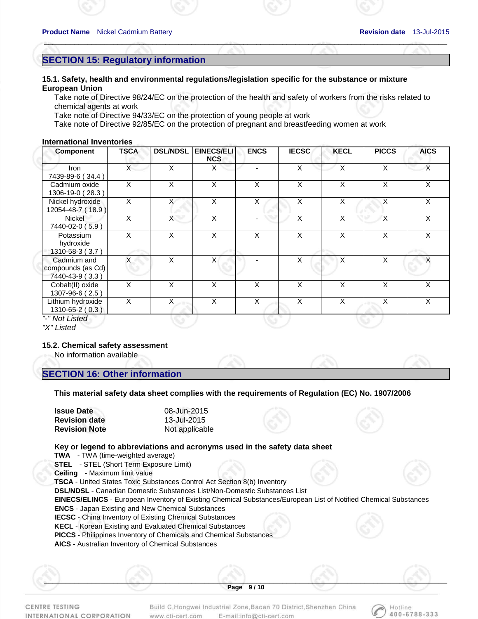Hotline 400-6788-333

# **SECTION 15: Regulatory information**

## **15.1. Safety, health and environmental regulations/legislation specific for the substance or mixture European Union**

Take note of Directive 98/24/EC on the protection of the health and safety of workers from the risks related to chemical agents at work

 $\mathcal{A}^{\otimes n}$  , and the contract of the contract of the contract of the contract of the contract of the contract of the contract of the contract of the contract of the contract of the contract of the contract of the cont

Take note of Directive 94/33/EC on the protection of young people at work

Take note of Directive 92/85/EC on the protection of pregnant and breastfeeding women at work

### **International Inventories**

| <b>Component</b>                                    | <b>TSCA</b>    | <b>DSL/NDSL</b>      | <b>EINECS/ELI</b><br><b>NCS</b> | <b>ENCS</b>              | <b>IECSC</b> | <b>KECL</b> | <b>PICCS</b> | <b>AICS</b>  |
|-----------------------------------------------------|----------------|----------------------|---------------------------------|--------------------------|--------------|-------------|--------------|--------------|
| Iron<br>7439-89-6 (34.4)                            | $\mathsf{X}^-$ | X                    | X                               |                          | X            | X           | X            | $\mathsf{X}$ |
| Cadmium oxide<br>1306-19-0 (28.3)                   | X              | X                    | X                               | X                        | X            | X           | X            | X            |
| Nickel hydroxide<br>12054-48-7 (18.9)               | X              | X                    | X                               | X                        | X            | X           | X            | X            |
| <b>Nickel</b><br>7440-02-0 (5.9)                    | X              | X                    | X                               | $\overline{\phantom{0}}$ | X            | X           | X            | X            |
| Potassium<br>hydroxide<br>1310-58-3 (3.7)           | X              | X                    | X                               | X                        | X            | X           | X            | X            |
| Cadmium and<br>compounds (as Cd)<br>7440-43-9 (3.3) | X              | X                    | $\times$                        |                          | X            | X           | X            | X            |
| Cobalt(II) oxide<br>1307-96-6 (2.5)                 | X              | X                    | X                               | X                        | X            | X           | X            | X            |
| Lithium hydroxide<br>1310-65-2 (0.3)                | X              | X<br>$\sim 10^{-10}$ | X                               | X                        | X            | X           | X            | X            |
| "-" Not Listed                                      |                |                      |                                 |                          |              |             |              |              |

*"X" Listed* 

# **15.2. Chemical safety assessment**

No information available

# **SECTION 16: Other information**

**This material safety data sheet complies with the requirements of Regulation (EC) No. 1907/2006** 

| <b>Issue Date</b>    | 08-Jun-2015    |
|----------------------|----------------|
| <b>Revision date</b> | 13-Jul-2015    |
| <b>Revision Note</b> | Not applicable |

### **Key or legend to abbreviations and acronyms used in the safety data sheet**

**TWA** - TWA (time-weighted average)

**STEL** - STEL (Short Term Exposure Limit)

**Ceiling** - Maximum limit value

**TSCA** - United States Toxic Substances Control Act Section 8(b) Inventory

**DSL/NDSL** - Canadian Domestic Substances List/Non-Domestic Substances List

**EINECS/ELINCS** - European Inventory of Existing Chemical Substances/European List of Notified Chemical Substances

**ENCS** - Japan Existing and New Chemical Substances

**IECSC** - China Inventory of Existing Chemical Substances

**KECL** - Korean Existing and Evaluated Chemical Substances

**PICCS** - Philippines Inventory of Chemicals and Chemical Substances

**AICS** - Australian Inventory of Chemical Substances

CENTRE TESTING INTERNATIONAL CORPORATION

Build C, Hongwei Industrial Zone, Baoan 70 District, Shenzhen China E-mail:info@cti-cert.com www.cti-cert.com

 $\mathcal{S}$  , and the contribution of  $\mathcal{S}$  , and  $\mathcal{S}$  , and  $\mathcal{S}$  , and  $\mathcal{S}$  , and  $\mathcal{S}$  , and  $\mathcal{S}$  , and  $\mathcal{S}$  , and  $\mathcal{S}$  , and  $\mathcal{S}$  , and  $\mathcal{S}$  , and  $\mathcal{S}$  , and  $\mathcal{S}$  , and  $\mathcal{S$ **Page 9 / 10**